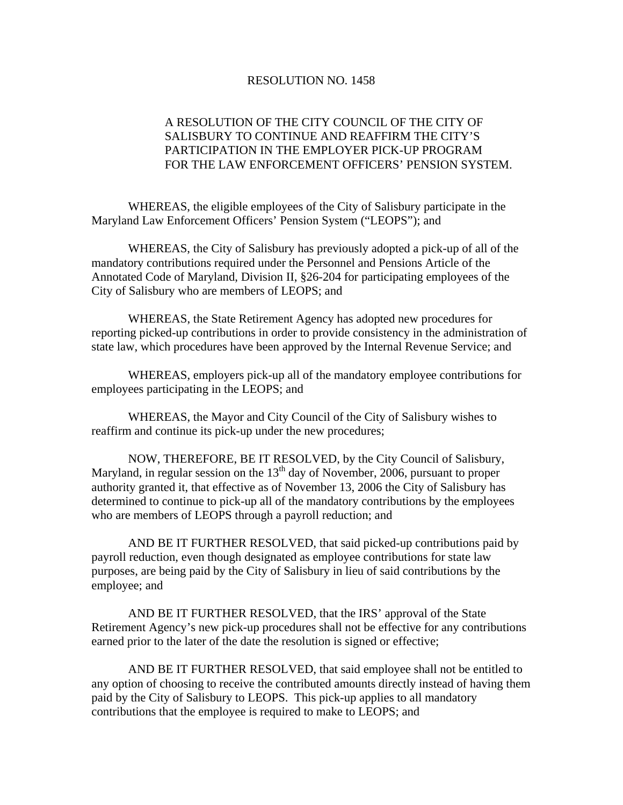## RESOLUTION NO. 1458

## A RESOLUTION OF THE CITY COUNCIL OF THE CITY OF SALISBURY TO CONTINUE AND REAFFIRM THE CITY'S PARTICIPATION IN THE EMPLOYER PICK-UP PROGRAM FOR THE LAW ENFORCEMENT OFFICERS' PENSION SYSTEM.

 WHEREAS, the eligible employees of the City of Salisbury participate in the Maryland Law Enforcement Officers' Pension System ("LEOPS"); and

 WHEREAS, the City of Salisbury has previously adopted a pick-up of all of the mandatory contributions required under the Personnel and Pensions Article of the Annotated Code of Maryland, Division II, §26-204 for participating employees of the City of Salisbury who are members of LEOPS; and

 WHEREAS, the State Retirement Agency has adopted new procedures for reporting picked-up contributions in order to provide consistency in the administration of state law, which procedures have been approved by the Internal Revenue Service; and

 WHEREAS, employers pick-up all of the mandatory employee contributions for employees participating in the LEOPS; and

 WHEREAS, the Mayor and City Council of the City of Salisbury wishes to reaffirm and continue its pick-up under the new procedures;

 NOW, THEREFORE, BE IT RESOLVED, by the City Council of Salisbury, Maryland, in regular session on the  $13<sup>th</sup>$  day of November, 2006, pursuant to proper authority granted it, that effective as of November 13, 2006 the City of Salisbury has determined to continue to pick-up all of the mandatory contributions by the employees who are members of LEOPS through a payroll reduction; and

 AND BE IT FURTHER RESOLVED, that said picked-up contributions paid by payroll reduction, even though designated as employee contributions for state law purposes, are being paid by the City of Salisbury in lieu of said contributions by the employee; and

 AND BE IT FURTHER RESOLVED, that the IRS' approval of the State Retirement Agency's new pick-up procedures shall not be effective for any contributions earned prior to the later of the date the resolution is signed or effective;

 AND BE IT FURTHER RESOLVED, that said employee shall not be entitled to any option of choosing to receive the contributed amounts directly instead of having them paid by the City of Salisbury to LEOPS. This pick-up applies to all mandatory contributions that the employee is required to make to LEOPS; and